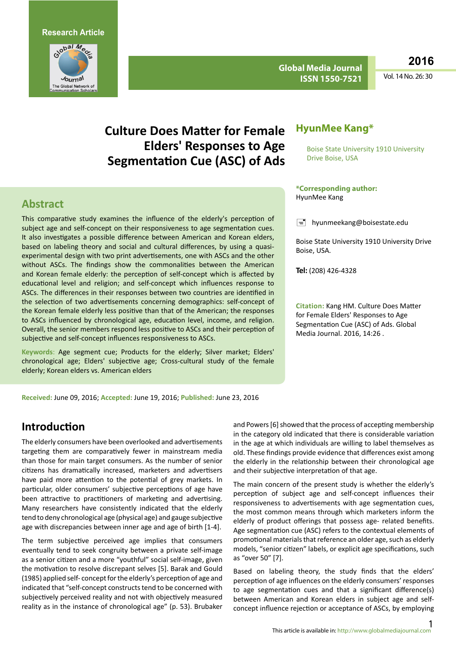

**Global Media Journal ISSN 1550-7521**

**2016**

Vol. 14 No. 26: 30

# **Culture Does Matter for Female Elders' Responses to Age Segmentation Cue (ASC) of Ads**

### **Abstract**

This comparative study examines the influence of the elderly's perception of subject age and self-concept on their responsiveness to age segmentation cues. It also investigates a possible difference between American and Korean elders, based on labeling theory and social and cultural differences, by using a quasiexperimental design with two print advertisements, one with ASCs and the other without ASCs. The findings show the commonalities between the American and Korean female elderly: the perception of self-concept which is affected by educational level and religion; and self-concept which influences response to ASCs. The differences in their responses between two countries are identified in the selection of two advertisements concerning demographics: self-concept of the Korean female elderly less positive than that of the American; the responses to ASCs influenced by chronological age, education level, income, and religion. Overall, the senior members respond less positive to ASCs and their perception of subjective and self-concept influences responsiveness to ASCs.

**Keywords**: Age segment cue; Products for the elderly; Silver market; Elders' chronological age; Elders' subjective age; Cross-cultural study of the female elderly; Korean elders vs. American elders

### **HyunMee Kang\***

Boise State University 1910 University Drive Boise, USA

#### **\*Corresponding author:**  HyunMee Kang

 $\equiv$  hyunmeekang@boisestate.edu

Boise State University 1910 University Drive Boise, USA.

**Tel:** (208) 426-4328

**Citation:** Kang HM. Culture Does Matter for Female Elders' Responses to Age Segmentation Cue (ASC) of Ads. Global Media Journal. 2016, 14:26 .

**Received:** June 09, 2016; **Accepted:** June 19, 2016; **Published:** June 23, 2016

### **Introduction**

The elderly consumers have been overlooked and advertisements targeting them are comparatively fewer in mainstream media than those for main target consumers. As the number of senior citizens has dramatically increased, marketers and advertisers have paid more attention to the potential of grey markets. In particular, older consumers' subjective perceptions of age have been attractive to practitioners of marketing and advertising. Many researchers have consistently indicated that the elderly tend to deny chronological age (physical age) and gauge subjective age with discrepancies between inner age and age of birth [1-4].

The term subjective perceived age implies that consumers eventually tend to seek congruity between a private self-image as a senior citizen and a more "youthful" social self-image, given the motivation to resolve discrepant selves [5]. Barak and Gould (1985) applied self- concept for the elderly's perception of age and indicated that "self-concept constructs tend to be concerned with subjectively perceived reality and not with objectively measured reality as in the instance of chronological age" (p. 53). Brubaker

and Powers [6] showed that the process of accepting membership in the category old indicated that there is considerable variation in the age at which individuals are willing to label themselves as old. These findings provide evidence that differences exist among the elderly in the relationship between their chronological age and their subjective interpretation of that age.

The main concern of the present study is whether the elderly's perception of subject age and self-concept influences their responsiveness to advertisements with age segmentation cues, the most common means through which marketers inform the elderly of product offerings that possess age- related benefits. Age segmentation cue (ASC) refers to the contextual elements of promotional materials that reference an older age, such as elderly models, "senior citizen" labels, or explicit age specifications, such as "over 50" [7].

Based on labeling theory, the study finds that the elders' perception of age influences on the elderly consumers' responses to age segmentation cues and that a significant difference(s) between American and Korean elders in subject age and selfconcept influence rejection or acceptance of ASCs, by employing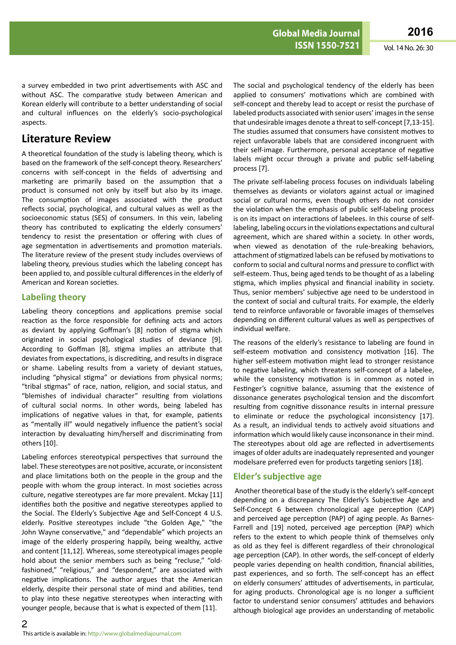a survey embedded in two print advertisements with ASC and without ASC. The comparative study between American and Korean elderly will contribute to a better understanding of social and cultural influences on the elderly's socio-psychological aspects.

### **Literature Review**

A theoretical foundation of the study is labeling theory, which is based on the framework of the self-concept theory. Researchers' concerns with self-concept in the fields of advertising and marketing are primarily based on the assumption that a product is consumed not only by itself but also by its image. The consumption of images associated with the product reflects social, psychological, and cultural values as well as the socioeconomic status (SES) of consumers. In this vein, labeling theory has contributed to explicating the elderly consumers' tendency to resist the presentation or offering with clues of age segmentation in advertisements and promotion materials. The literature review of the present study includes overviews of labeling theory, previous studies which the labeling concept has been applied to, and possible cultural differences in the elderly of American and Korean societies.

#### **Labeling theory**

Labeling theory conceptions and applications premise social reaction as the force responsible for defining acts and actors as deviant by applying Goffman's [8] notion of stigma which originated in social psychological studies of deviance [9]. According to Goffman [8], stigma implies an attribute that deviates from expectations, is discrediting, and results in disgrace or shame. Labeling results from a variety of deviant statues, including "physical stigma" or deviations from physical norms; "tribal stigmas" of race, nation, religion, and social status, and "blemishes of individual character" resulting from violations of cultural social norms. In other words, being labeled has implications of negative values in that, for example, patients as "mentally ill" would negatively influence the patient's social interaction by devaluating him/herself and discriminating from others [10].

Labeling enforces stereotypical perspectives that surround the label. These stereotypes are not positive, accurate, or inconsistent and place limitations both on the people in the group and the people with whom the group interact. In most societies across culture, negative stereotypes are far more prevalent. Mckay [11] identifies both the positive and negative stereotypes applied to the Social. The Elderly's Subjective Age and Self-Concept 4 U.S. elderly. Positive stereotypes include "the Golden Age," "the John Wayne conservative," and "dependable" which projects an image of the elderly prospering happily, being wealthy, active and content [11,12]. Whereas, some stereotypical images people hold about the senior members such as being "recluse," "oldfashioned," "religious," and "despondent," are associated with negative implications. The author argues that the American elderly, despite their personal state of mind and abilities, tend to play into these negative stereotypes when interacting with younger people, because that is what is expected of them [11].

The social and psychological tendency of the elderly has been applied to consumers' motivations which are combined with self-concept and thereby lead to accept or resist the purchase of labeled products associated with senior users' images in the sense that undesirable images denote a threat to self-concept [7,13-15]. The studies assumed that consumers have consistent motives to reject unfavorable labels that are considered incongruent with their self-image. Furthermore, personal acceptance of negative labels might occur through a private and public self-labeling process [7].

The private self-labeling process focuses on individuals labeling themselves as deviants or violators against actual or imagined social or cultural norms, even though others do not consider the violation when the emphasis of public self-labeling process is on its impact on interactions of labelees. In this course of selflabeling, labeling occurs in the violations expectations and cultural agreement, which are shared within a society. In other words, when viewed as denotation of the rule-breaking behaviors, attachment of stigmatized labels can be refused by motivations to conform to social and cultural norms and pressure to conflict with self-esteem. Thus, being aged tends to be thought of as a labeling stigma, which implies physical and financial inability in society. Thus, senior members' subjective age need to be understood in the context of social and cultural traits. For example, the elderly tend to reinforce unfavorable or favorable images of themselves depending on different cultural values as well as perspectives of individual welfare.

The reasons of the elderly's resistance to labeling are found in self-esteem motivation and consistency motivation [16]. The higher self-esteem motivation might lead to stronger resistance to negative labeling, which threatens self-concept of a labelee, while the consistency motivation is in common as noted in Festinger's cognitive balance, assuming that the existence of dissonance generates psychological tension and the discomfort resulting from cognitive dissonance results in internal pressure to eliminate or reduce the psychological inconsistency [17]. As a result, an individual tends to actively avoid situations and information which would likely cause inconsonance in their mind. The stereotypes about old age are reflected in advertisements images of older adults are inadequately represented and younger modelsare preferred even for products targeting seniors [18].

#### **Elder's subjective age**

 Another theoretical base of the study is the elderly's self-concept depending on a discrepancy The Elderly's Subjective Age and Self-Concept 6 between chronological age perception (CAP) and perceived age perception (PAP) of aging people. As Barnes-Farrell and [19] noted, perceived age perception (PAP) which refers to the extent to which people think of themselves only as old as they feel is different regardless of their chronological age perception (CAP). In other words, the self-concept of elderly people varies depending on health condition, financial abilities, past experiences, and so forth. The self-concept has an effect on elderly consumers' attitudes of advertisements, in particular, for aging products. Chronological age is no longer a sufficient factor to understand senior consumers' attitudes and behaviors although biological age provides an understanding of metabolic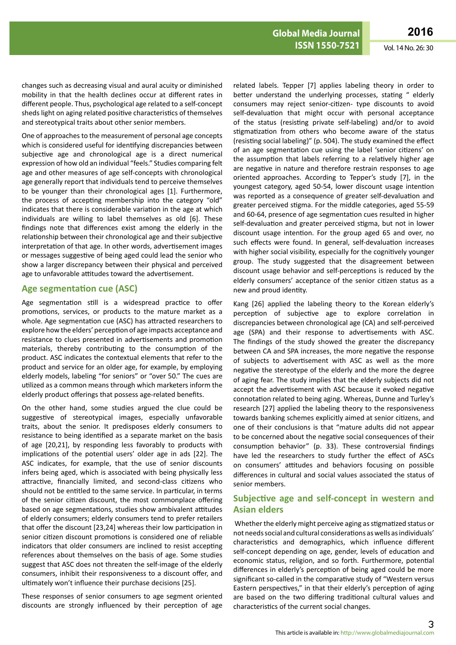changes such as decreasing visual and aural acuity or diminished mobility in that the health declines occur at different rates in different people. Thus, psychological age related to a self-concept sheds light on aging related positive characteristics of themselves and stereotypical traits about other senior members.

One of approaches to the measurement of personal age concepts which is considered useful for identifying discrepancies between subjective age and chronological age is a direct numerical expression of how old an individual "feels." Studies comparing felt age and other measures of age self-concepts with chronological age generally report that individuals tend to perceive themselves to be younger than their chronological ages [1]. Furthermore, the process of accepting membership into the category "old" indicates that there is considerable variation in the age at which individuals are willing to label themselves as old [6]. These findings note that differences exist among the elderly in the relationship between their chronological age and their subjective interpretation of that age. In other words, advertisement images or messages suggestive of being aged could lead the senior who show a larger discrepancy between their physical and perceived age to unfavorable attitudes toward the advertisement.

#### **Age segmentation cue (ASC)**

Age segmentation still is a widespread practice to offer promotions, services, or products to the mature market as a whole. Age segmentation cue (ASC) has attracted researchers to explore how the elders' perception of age impacts acceptance and resistance to clues presented in advertisements and promotion materials, thereby contributing to the consumption of the product. ASC indicates the contextual elements that refer to the product and service for an older age, for example, by employing elderly models, labeling "for seniors" or "over 50." The cues are utilized as a common means through which marketers inform the elderly product offerings that possess age-related benefits.

On the other hand, some studies argued the clue could be suggestive of stereotypical images, especially unfavorable traits, about the senior. It predisposes elderly consumers to resistance to being identified as a separate market on the basis of age [20,21], by responding less favorably to products with implications of the potential users' older age in ads [22]. The ASC indicates, for example, that the use of senior discounts infers being aged, which is associated with being physically less attractive, financially limited, and second-class citizens who should not be entitled to the same service. In particular, in terms of the senior citizen discount, the most commonplace offering based on age segmentations, studies show ambivalent attitudes of elderly consumers; elderly consumers tend to prefer retailers that offer the discount [23,24] whereas their low participation in senior citizen discount promotions is considered one of reliable indicators that older consumers are inclined to resist accepting references about themselves on the basis of age. Some studies suggest that ASC does not threaten the self-image of the elderly consumers, inhibit their responsiveness to a discount offer, and ultimately won't influence their purchase decisions [25].

These responses of senior consumers to age segment oriented discounts are strongly influenced by their perception of age

related labels. Tepper [7] applies labeling theory in order to better understand the underlying processes, stating " elderly consumers may reject senior-citizen- type discounts to avoid self-devaluation that might occur with personal acceptance of the status (resisting private self-labeling) and/or to avoid stigmatization from others who become aware of the status (resisting social labeling)" (p. 504). The study examined the effect of an age segmentation cue using the label 'senior citizens' on the assumption that labels referring to a relatively higher age are negative in nature and therefore restrain responses to age oriented approaches. According to Tepper's study [7], in the youngest category, aged 50-54, lower discount usage intention was reported as a consequence of greater self-devaluation and greater perceived stigma. For the middle categories, aged 55-59 and 60-64, presence of age segmentation cues resulted in higher self-devaluation and greater perceived stigma, but not in lower discount usage intention. For the group aged 65 and over, no such effects were found. In general, self-devaluation increases with higher social visibility, especially for the cognitively younger group. The study suggested that the disagreement between discount usage behavior and self-perceptions is reduced by the elderly consumers' acceptance of the senior citizen status as a new and proud identity.

Kang [26] applied the labeling theory to the Korean elderly's perception of subjective age to explore correlation in discrepancies between chronological age (CA) and self-perceived age (SPA) and their response to advertisements with ASC. The findings of the study showed the greater the discrepancy between CA and SPA increases, the more negative the response of subjects to advertisement with ASC as well as the more negative the stereotype of the elderly and the more the degree of aging fear. The study implies that the elderly subjects did not accept the advertisement with ASC because it evoked negative connotation related to being aging. Whereas, Dunne and Turley's research [27] applied the labeling theory to the responsiveness towards banking schemes explicitly aimed at senior citizens, and one of their conclusions is that "mature adults did not appear to be concerned about the negative social consequences of their consumption behavior" (p. 33). These controversial findings have led the researchers to study further the effect of ASCs on consumers' attitudes and behaviors focusing on possible differences in cultural and social values associated the status of senior members.

### **Subjective age and self-concept in western and Asian elders**

 Whether the elderly might perceive aging as stigmatized status or not needs social and cultural considerations as wells as individuals' characteristics and demographics, which influence different self-concept depending on age, gender, levels of education and economic status, religion, and so forth. Furthermore, potential differences in elderly's perception of being aged could be more significant so-called in the comparative study of "Western versus Eastern perspectives," in that their elderly's perception of aging are based on the two differing traditional cultural values and characteristics of the current social changes.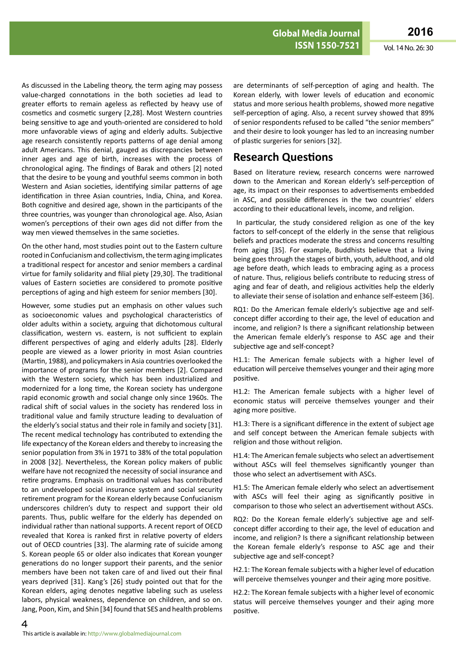As discussed in the Labeling theory, the term aging may possess value-charged connotations in the both societies ad lead to greater efforts to remain ageless as reflected by heavy use of cosmetics and cosmetic surgery [2,28]. Most Western countries being sensitive to age and youth-oriented are considered to hold more unfavorable views of aging and elderly adults. Subjective age research consistently reports patterns of age denial among adult Americans. This denial, gauged as discrepancies between inner ages and age of birth, increases with the process of chronological aging. The findings of Barak and others [2] noted that the desire to be young and youthful seems common in both Western and Asian societies, identifying similar patterns of age identification in three Asian countries, India, China, and Korea. Both cognitive and desired age, shown in the participants of the three countries, was younger than chronological age. Also, Asian women's perceptions of their own ages did not differ from the way men viewed themselves in the same societies.

On the other hand, most studies point out to the Eastern culture rooted in Confucianism and collectivism, the term aging implicates a traditional respect for ancestor and senior members a cardinal virtue for family solidarity and filial piety [29,30]. The traditional values of Eastern societies are considered to promote positive perceptions of aging and high esteem for senior members [30].

However, some studies put an emphasis on other values such as socioeconomic values and psychological characteristics of older adults within a society, arguing that dichotomous cultural classification, western vs. eastern, is not sufficient to explain different perspectives of aging and elderly adults [28]. Elderly people are viewed as a lower priority in most Asian countries (Martin, 1988), and policymakers in Asia countries overlooked the importance of programs for the senior members [2]. Compared with the Western society, which has been industrialized and modernized for a long time, the Korean society has undergone rapid economic growth and social change only since 1960s. The radical shift of social values in the society has rendered loss in traditional value and family structure leading to devaluation of the elderly's social status and their role in family and society [31]. The recent medical technology has contributed to extending the life expectancy of the Korean elders and thereby to increasing the senior population from 3% in 1971 to 38% of the total population in 2008 [32]. Nevertheless, the Korean policy makers of public welfare have not recognized the necessity of social insurance and retire programs. Emphasis on traditional values has contributed to an undeveloped social insurance system and social security retirement program for the Korean elderly because Confucianism underscores children's duty to respect and support their old parents. Thus, public welfare for the elderly has depended on individual rather than national supports. A recent report of OECD revealed that Korea is ranked first in relative poverty of elders out of OECD countries [33]. The alarming rate of suicide among S. Korean people 65 or older also indicates that Korean younger generations do no longer support their parents, and the senior members have been not taken care of and lived out their final years deprived [31]. Kang's [26] study pointed out that for the Korean elders, aging denotes negative labeling such as useless labors, physical weakness, dependence on children, and so on. Jang, Poon, Kim, and Shin [34] found that SES and health problems

are determinants of self-perception of aging and health. The Korean elderly, with lower levels of education and economic status and more serious health problems, showed more negative self-perception of aging. Also, a recent survey showed that 89% of senior respondents refused to be called "the senior members" and their desire to look younger has led to an increasing number of plastic surgeries for seniors [32].

### **Research Questions**

Based on literature review, research concerns were narrowed down to the American and Korean elderly's self-perception of age, its impact on their responses to advertisements embedded in ASC, and possible differences in the two countries' elders according to their educational levels, income, and religion.

 In particular, the study considered religion as one of the key factors to self-concept of the elderly in the sense that religious beliefs and practices moderate the stress and concerns resulting from aging [35]. For example, Buddhists believe that a living being goes through the stages of birth, youth, adulthood, and old age before death, which leads to embracing aging as a process of nature. Thus, religious beliefs contribute to reducing stress of aging and fear of death, and religious activities help the elderly to alleviate their sense of isolation and enhance self-esteem [36].

RQ1: Do the American female elderly's subjective age and selfconcept differ according to their age, the level of education and income, and religion? Is there a significant relationship between the American female elderly's response to ASC age and their subjective age and self-concept?

H1.1: The American female subjects with a higher level of education will perceive themselves younger and their aging more positive.

H1.2: The American female subjects with a higher level of economic status will perceive themselves younger and their aging more positive.

H1.3: There is a significant difference in the extent of subject age and self concept between the American female subjects with religion and those without religion.

H1.4: The American female subjects who select an advertisement without ASCs will feel themselves significantly younger than those who select an advertisement with ASCs.

H1.5: The American female elderly who select an advertisement with ASCs will feel their aging as significantly positive in comparison to those who select an advertisement without ASCs.

RQ2: Do the Korean female elderly's subjective age and selfconcept differ according to their age, the level of education and income, and religion? Is there a significant relationship between the Korean female elderly's response to ASC age and their subjective age and self-concept?

H2.1: The Korean female subjects with a higher level of education will perceive themselves younger and their aging more positive.

H2.2: The Korean female subjects with a higher level of economic status will perceive themselves younger and their aging more positive.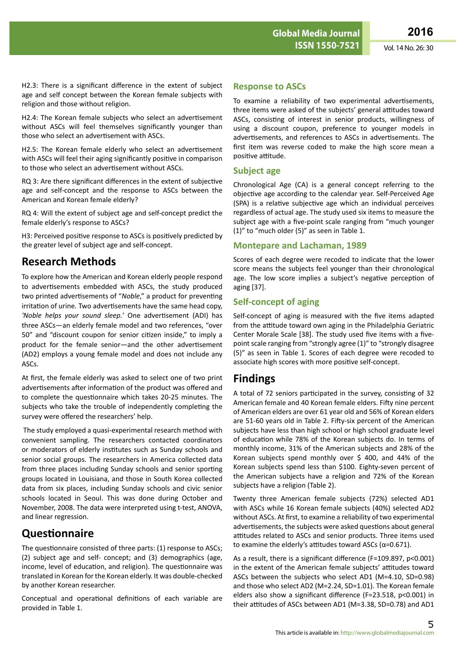H2.4: The Korean female subjects who select an advertisement without ASCs will feel themselves significantly younger than those who select an advertisement with ASCs.

H2.5: The Korean female elderly who select an advertisement with ASCs will feel their aging significantly positive in comparison to those who select an advertisement without ASCs.

RQ 3: Are there significant differences in the extent of subjective age and self-concept and the response to ASCs between the American and Korean female elderly?

RQ 4: Will the extent of subject age and self-concept predict the female elderly's response to ASCs?

H3: Perceived positive response to ASCs is positively predicted by the greater level of subject age and self-concept.

## **Research Methods**

To explore how the American and Korean elderly people respond to advertisements embedded with ASCs, the study produced two printed advertisements of "*Noble*," a product for preventing irritation of urine. Two advertisements have the same head copy, *'Noble helps your sound sleep.*' One advertisement (ADI) has three ASCs—an elderly female model and two references, "over 50" and "discount coupon for senior citizen inside," to imply a product for the female senior—and the other advertisement (AD2) employs a young female model and does not include any ASCs.

At first, the female elderly was asked to select one of two print advertisements after information of the product was offered and to complete the questionnaire which takes 20-25 minutes. The subjects who take the trouble of independently completing the survey were offered the researchers' help.

 The study employed a quasi-experimental research method with convenient sampling. The researchers contacted coordinators or moderators of elderly institutes such as Sunday schools and senior social groups. The researchers in America collected data from three places including Sunday schools and senior sporting groups located in Louisiana, and those in South Korea collected data from six places, including Sunday schools and civic senior schools located in Seoul. This was done during October and November, 2008. The data were interpreted using t-test, ANOVA, and linear regression.

## **Questionnaire**

The questionnaire consisted of three parts: (1) response to ASCs; (2) subject age and self- concept; and (3) demographics (age, income, level of education, and religion). The questionnaire was translated in Korean for the Korean elderly. It was double-checked by another Korean researcher.

Conceptual and operational definitions of each variable are provided in Table 1.

### **Response to ASCs**

To examine a reliability of two experimental advertisements, three items were asked of the subjects' general attitudes toward ASCs, consisting of interest in senior products, willingness of using a discount coupon, preference to younger models in advertisements, and references to ASCs in advertisements. The first item was reverse coded to make the high score mean a positive attitude.

### **Subject age**

Chronological Age (CA) is a general concept referring to the objective age according to the calendar year. Self-Perceived Age (SPA) is a relative subjective age which an individual perceives regardless of actual age. The study used six items to measure the subject age with a five-point scale ranging from "much younger (1)" to "much older (5)" as seen in Table 1.

### **Montepare and Lachaman, 1989**

Scores of each degree were recoded to indicate that the lower score means the subjects feel younger than their chronological age. The low score implies a subject's negative perception of aging [37].

### **Self-concept of aging**

Self-concept of aging is measured with the five items adapted from the attitude toward own aging in the Philadelphia Geriatric Center Morale Scale [38]. The study used five items with a fivepoint scale ranging from "strongly agree (1)" to "strongly disagree (5)" as seen in Table 1. Scores of each degree were recoded to associate high scores with more positive self-concept.

### **Findings**

A total of 72 seniors participated in the survey, consisting of 32 American female and 40 Korean female elders. Fifty nine percent of American elders are over 61 year old and 56% of Korean elders are 51-60 years old in Table 2. Fifty-six percent of the American subjects have less than high school or high school graduate level of education while 78% of the Korean subjects do. In terms of monthly income, 31% of the American subjects and 28% of the Korean subjects spend monthly over \$ 400, and 44% of the Korean subjects spend less than \$100. Eighty-seven percent of the American subjects have a religion and 72% of the Korean subjects have a religion (Table 2).

Twenty three American female subjects (72%) selected AD1 with ASCs while 16 Korean female subjects (40%) selected AD2 without ASCs. At first, to examine a reliability of two experimental advertisements, the subjects were asked questions about general attitudes related to ASCs and senior products. Three items used to examine the elderly's attitudes toward ASCs ( $\alpha$ =0.671).

As a result, there is a significant difference (F=109.897, p<0.001) in the extent of the American female subjects' attitudes toward ASCs between the subjects who select AD1 (M=4.10, SD=0.98) and those who select AD2 (M=2.24, SD=1.01). The Korean female elders also show a significant difference (F=23.518, p<0.001) in their attitudes of ASCs between AD1 (M=3.38, SD=0.78) and AD1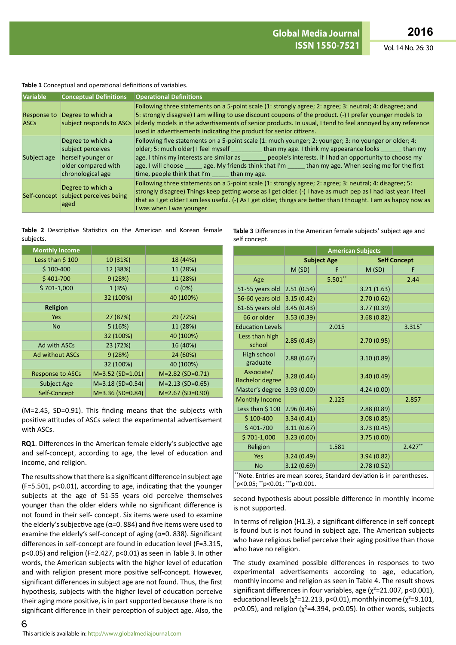#### **Table 1** Conceptual and operational definitions of variables.

| <b>Variable</b>                   | <b>Conceptual Definitions</b>                                                                            | <b>Operational Definitions</b>                                                                                                                                                                                                                                                                                                                                                                                                                                          |
|-----------------------------------|----------------------------------------------------------------------------------------------------------|-------------------------------------------------------------------------------------------------------------------------------------------------------------------------------------------------------------------------------------------------------------------------------------------------------------------------------------------------------------------------------------------------------------------------------------------------------------------------|
| <b>Response to</b><br><b>ASCs</b> | Degree to which a<br>subject responds to ASCs                                                            | Following three statements on a 5-point scale (1: strongly agree; 2: agree; 3: neutral; 4: disagree; and<br>5: strongly disagree) I am willing to use discount coupons of the product. (-) I prefer younger models to<br>elderly models in the advertisements of senior products. In usual, I tend to feel annoyed by any reference<br>used in advertisements indicating the product for senior citizens.                                                               |
| Subject age                       | Degree to which a<br>subject perceives<br>herself younger or<br>older compared with<br>chronological age | Following five statements on a 5-point scale (1: much younger; 2: younger; 3: no younger or older; 4:<br>older; 5: much older) I feel myself __________ than my age. I think my appearance looks ______ than my<br>age. I think my interests are similar as _______ people's interests. If I had an opportunity to choose my<br>age, I will choose age. My friends think that I'm than my age. When seeing me for the first<br>time, people think that I'm than my age. |
|                                   | Degree to which a<br>Self-concept subject perceives being<br>aged                                        | Following three statements on a 5-point scale (1: strongly agree; 2: agree; 3: neutral; 4: disagree; 5:<br>strongly disagree) Things keep getting worse as I get older. (-) I have as much pep as I had last year. I feel<br>that as I get older I am less useful. (-) As I get older, things are better than I thought. I am as happy now as<br>I was when I was younger                                                                                               |

#### **Table 2** Descriptive Statistics on the American and Korean female subjects.

| <b>Monthly Income</b>   |                    |                    |
|-------------------------|--------------------|--------------------|
| Less than \$100         | 10 (31%)           | 18 (44%)           |
| $$100-400$              | 12 (38%)           | 11 (28%)           |
| $$401-700$              | 9(28%)             | 11 (28%)           |
| $$701-1,000$            | 1(3%)              | $0(0\%)$           |
|                         | 32 (100%)          | 40 (100%)          |
| <b>Religion</b>         |                    |                    |
| <b>Yes</b>              | 27 (87%)           | 29 (72%)           |
| <b>No</b>               | 5(16%)             | 11 (28%)           |
|                         | 32 (100%)          | 40 (100%)          |
| Ad with ASCs            | 23 (72%)           | 16 (40%)           |
| <b>Ad without ASCs</b>  | 9(28%)             | 24 (60%)           |
|                         | 32 (100%)          | 40 (100%)          |
| <b>Response to ASCs</b> | $M=3.52$ (SD=1.01) | $M=2.82$ (SD=0.71) |
| Subject Age             | $M=3.18$ (SD=0.54) | $M=2.13$ (SD=0.65) |
| Self-Concept            | M=3.36 (SD=0.84)   | M=2.67 (SD=0.90)   |

(M=2.45, SD=0.91). This finding means that the subjects with positive attitudes of ASCs select the experimental advertisement with ASCs.

**RQ1**. Differences in the American female elderly's subjective age and self-concept, according to age, the level of education and income, and religion.

The results show that there is a significant difference in subject age (F=5.501, p<0.01), according to age, indicating that the younger subjects at the age of 51-55 years old perceive themselves younger than the older elders while no significant difference is not found in their self- concept. Six items were used to examine the elderly's subjective age ( $\alpha$ =0. 884) and five items were used to examine the elderly's self-concept of aging ( $\alpha$ =0. 838). Significant differences in self-concept are found in education level (F=3.315, p<0.05) and religion (F=2.427, p<0.01) as seen in Table 3. In other words, the American subjects with the higher level of education and with religion present more positive self-concept. However, significant differences in subject age are not found. Thus, the first hypothesis, subjects with the higher level of education perceive their aging more positive, is in part supported because there is no significant difference in their perception of subject age. Also, the **Table 3** Differences in the American female subjects' subject age and self concept.

|                                                                        | <b>Subject Age</b> |           |            | <b>Self Concept</b> |  |  |  |
|------------------------------------------------------------------------|--------------------|-----------|------------|---------------------|--|--|--|
|                                                                        | M(SD)              | F         | M(SD)      | F                   |  |  |  |
| Age                                                                    |                    | $5.501**$ |            | 2.44                |  |  |  |
| 51-55 years old                                                        | 2.51(0.54)         |           | 3.21(1.63) |                     |  |  |  |
| 56-60 years old                                                        | 3.15(0.42)         |           | 2.70(0.62) |                     |  |  |  |
| 61-65 years old                                                        | 3.45(0.43)         |           | 3.77(0.39) |                     |  |  |  |
| 66 or older                                                            | 3.53(0.39)         |           | 3.68(0.82) |                     |  |  |  |
| <b>Education Levels</b>                                                |                    | 2.015     |            | 3.315*              |  |  |  |
| Less than high<br>school                                               | 2.85(0.43)         |           | 2.70(0.95) |                     |  |  |  |
| High school<br>graduate                                                | 2.88(0.67)         |           | 3.10(0.89) |                     |  |  |  |
| Associate/<br><b>Bachelor degree</b>                                   | 3.28(0.44)         |           | 3.40(0.49) |                     |  |  |  |
| Master's degree                                                        | 3.93(0.00)         |           | 4.24(0.00) |                     |  |  |  |
| <b>Monthly Income</b>                                                  |                    | 2.125     |            | 2.857               |  |  |  |
| Less than \$100                                                        | 2.96(0.46)         |           | 2.88(0.89) |                     |  |  |  |
| $$100-400$                                                             | 3.34(0.41)         |           | 3.08(0.85) |                     |  |  |  |
| $$401-700$                                                             | 3.11(0.67)         |           | 3.73(0.45) |                     |  |  |  |
| $$701-1,000$                                                           | 3.23(0.00)         |           | 3.75(0.00) |                     |  |  |  |
| Religion                                                               |                    | 1.581     |            | $2.427**$           |  |  |  |
| Yes                                                                    | 3.24(0.49)         |           | 3.94(0.82) |                     |  |  |  |
| <b>No</b>                                                              | 3.12(0.69)         |           | 2.78(0.52) |                     |  |  |  |
| **Note. Entries are mean scores; Standard deviation is in parentheses. |                    |           |            |                     |  |  |  |

\* p<0.05; \*\*p<0.01; \*\*\*p<0.001.

second hypothesis about possible difference in monthly income is not supported.

In terms of religion (H1.3), a significant difference in self concept is found but is not found in subject age. The American subjects who have religious belief perceive their aging positive than those who have no religion.

The study examined possible differences in responses to two experimental advertisements according to age, education, monthly income and religion as seen in Table 4. The result shows significant differences in four variables, age  $(\chi^2=21.007, p<0.001)$ , educational levels ( $\chi^2$ =12.213, p<0.01), monthly income ( $\chi^2$ =9.101, p<0.05), and religion ( $\chi^2$ =4.394, p<0.05). In other words, subjects

6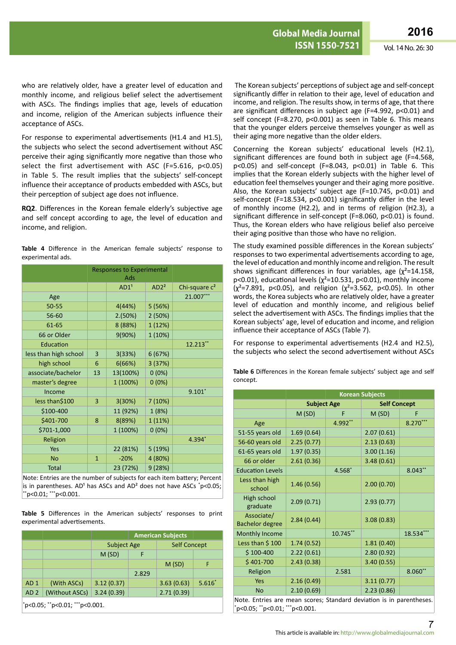who are relatively older, have a greater level of education and monthly income, and religious belief select the advertisement with ASCs. The findings implies that age, levels of education and income, religion of the American subjects influence their acceptance of ASCs.

For response to experimental advertisements (H1.4 and H1.5), the subjects who select the second advertisement without ASC perceive their aging significantly more negative than those who select the first advertisement with ASC (F=5.616, p<0.05) in Table 5. The result implies that the subjects' self-concept influence their acceptance of products embedded with ASCs, but their perception of subject age does not influence.

**RQ2**. Differences in the Korean female elderly's subjective age and self concept according to age, the level of education and income, and religion.

|  | <b>Table 4</b> Difference in the American female subjects' response to |  |  |  |  |
|--|------------------------------------------------------------------------|--|--|--|--|
|  | experimental ads.                                                      |  |  |  |  |

|                       | <b>Responses to Experimental</b><br>Ads |                  |                  |                  |
|-----------------------|-----------------------------------------|------------------|------------------|------------------|
|                       |                                         | AD1 <sup>1</sup> | AD2 <sup>2</sup> | Chi-square $c^2$ |
| Age                   |                                         |                  |                  | 21.007***        |
| 50-55                 |                                         | 4(44%)           | 5 (56%)          |                  |
| 56-60                 |                                         | 2.(50%)          | 2(50%)           |                  |
| 61-65                 |                                         | 8 (88%)          | 1 (12%)          |                  |
| 66 or Older           |                                         | 9(90%)           | 1 (10%)          |                  |
| Education             |                                         |                  |                  | 12.213**         |
| less than high school | 3                                       | 3(33%)           | 6(67%)           |                  |
| high school           | 6                                       | 6(66%)           | 3 (37%)          |                  |
| associate/bachelor    | 13                                      | 13(100%)         | 0(0%)            |                  |
| master's degree       |                                         | 1 (100%)         | $0(0\%)$         |                  |
| Income                |                                         |                  |                  | $9.101*$         |
| less than\$100        | 3                                       | 3(30%)           | 7(10%)           |                  |
| \$100-400             |                                         | 11 (92%)         | 1(8%)            |                  |
| \$401-700             | 8                                       | 8(89%)           | 1(11%)           |                  |
| \$701-1,000           |                                         | 1 (100%)         | $0(0\%)$         |                  |
| Religion              |                                         |                  |                  | 4.394*           |
| Yes                   |                                         | 22 (81%)         | 5 (19%)          |                  |
| <b>No</b>             | $\mathbf{1}$                            | $-20%$           | 4 (80%)          |                  |
| <b>Total</b>          |                                         | 23 (72%)         | 9(28%)           |                  |

Note: Entries are the number of subjects for each item battery; Percent is in parentheses. AD<sup>1</sup> has ASCs and AD<sup>2</sup> does not have ASCs  $\degree$ p<0.05; \*\*p<0.01; \*\*\*p<0.001.

**Table 5** Differences in the American subjects' responses to print experimental advertisements.

|                                |                                            |                    | <b>American Subjects</b> |                     |          |  |
|--------------------------------|--------------------------------------------|--------------------|--------------------------|---------------------|----------|--|
|                                |                                            | <b>Subject Age</b> |                          | <b>Self Concept</b> |          |  |
|                                |                                            | M(SD)              | F                        |                     |          |  |
|                                |                                            |                    |                          | M(SD)               | F        |  |
|                                |                                            |                    | 2.829                    |                     |          |  |
| AD <sub>1</sub>                | (With ASCs)                                | 3.12(0.37)         |                          | 3.63(0.63)          | $5.616*$ |  |
| AD <sub>2</sub>                | 3.24(0.39)<br>2.71(0.39)<br>(Without ASCs) |                    |                          |                     |          |  |
| *p<0.05; **p<0.01; ***p<0.001. |                                            |                    |                          |                     |          |  |

The Korean subjects' perceptions of subject age and self-concept significantly differ in relation to their age, level of education and income, and religion. The results show, in terms of age, that there are significant differences in subject age (F=4.992, p<0.01) and self concept (F=8.270, p<0.001) as seen in Table 6. This means that the younger elders perceive themselves younger as well as their aging more negative than the older elders.

Concerning the Korean subjects' educational levels (H2.1), significant differences are found both in subject age (F=4.568,  $p$ <0.05) and self-concept (F=8.043,  $p$ <0.01) in Table 6. This implies that the Korean elderly subjects with the higher level of education feel themselves younger and their aging more positive. Also, the Korean subjects' subject age (F=10.745, p<0.01) and self-concept (F=18.534, p<0.001) significantly differ in the level of monthly income (H2.2), and in terms of religion (H2.3), a significant difference in self-concept (F=8.060, p<0.01) is found. Thus, the Korean elders who have religious belief also perceive their aging positive than those who have no religion.

The study examined possible differences in the Korean subjects' responses to two experimental advertisements according to age, the level of education and monthly income and religion. The result shows significant differences in four variables, age  $(\chi^2=14.158,$ p<0.01), educational levels ( $\chi^2$ =10.531, p<0.01), monthly income  $(x^2=7.891, p<0.05)$ , and religion  $(x^2=3.562, p<0.05)$ . In other words, the Korea subjects who are relatively older, have a greater level of education and monthly income, and religious belief select the advertisement with ASCs. The findings implies that the Korean subjects' age, level of education and income, and religion influence their acceptance of ASCs (Table 7).

For response to experimental advertisements (H2.4 and H2.5), the subjects who select the second advertisement without ASCs

**Table 6** Differences in the Korean female subjects' subject age and self concept.

| <b>Subject Age</b> |          |            |                                                                                                                     |
|--------------------|----------|------------|---------------------------------------------------------------------------------------------------------------------|
| M(SD)              | F        | M(SD)      | F                                                                                                                   |
|                    | 4.992**  |            | 8.270***                                                                                                            |
| 1.69(0.64)         |          | 2.07(0.61) |                                                                                                                     |
| 2.25(0.77)         |          | 2.13(0.63) |                                                                                                                     |
| 1.97(0.35)         |          | 3.00(1.16) |                                                                                                                     |
| 2.61(0.36)         |          | 3.48(0.61) |                                                                                                                     |
|                    | 4.568*   |            | $8.043**$                                                                                                           |
| 1.46(0.56)         |          | 2.00(0.70) |                                                                                                                     |
| 2.09(0.71)         |          | 2.93(0.77) |                                                                                                                     |
| 2.84(0.44)         |          | 3.08(0.83) |                                                                                                                     |
|                    | 10.745** |            | 18.534***                                                                                                           |
| 1.74(0.52)         |          | 1.81(0.40) |                                                                                                                     |
| 2.22(0.61)         |          | 2.80(0.92) |                                                                                                                     |
| 2.43(0.38)         |          | 3.40(0.55) |                                                                                                                     |
|                    | 2.581    |            | $8.060**$                                                                                                           |
| 2.16(0.49)         |          | 3.11(0.77) |                                                                                                                     |
| 2.10(0.69)         |          | 2.23(0.86) |                                                                                                                     |
|                    |          |            | <b>Korean Subjects</b><br><b>Self Concept</b><br>Note Entrice are mean scores; Standard deviation is in parentheses |

Note. Entries are mean scores; Standard deviation is in parentheses. \* p<0.05; \*\*p<0.01; \*\*\*p<0.001.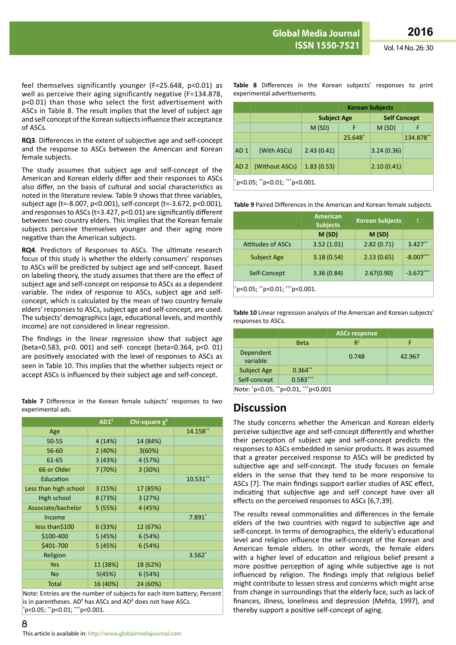feel themselves significantly younger (F=25.648, p<0.01) as well as perceive their aging significantly negative (F=134.878, p<0.01) than those who select the first advertisement with ASCs in Table 8. The result implies that the level of subject age and self concept of the Korean subjects influence their acceptance of ASCs.

**RQ3**. Differences in the extent of subjective age and self-concept and the response to ASCs between the American and Korean female subjects.

The study assumes that subject age and self-concept of the American and Korean elderly differ and their responses to ASCs also differ, on the basis of cultural and social characteristics as noted in the literature review. Table 9 shows that three variables, subject age (t=-8.007, p<0.001), self-concept (t=-3.672, p<0.001), and responses to ASCs (t=3.427, p<0.01) are significantly different between two country elders. This implies that the Korean female subjects perceive themselves younger and their aging more negative than the American subjects.

**RQ4**. Predictors of Responses to ASCs. The ultimate research focus of this study is whether the elderly consumers' responses to ASCs will be predicted by subject age and self-concept. Based on labeling theory, the study assumes that there are the effect of subject age and self-concept on response to ASCs as a dependent variable. The index of response to ASCs, subject age and selfconcept, which is calculated by the mean of two country female elders' responses to ASCs, subject age and self-concept, are used. The subjects' demographics (age, educational levels, and monthly income) are not considered in linear regression.

The findings in the linear regression show that subject age (beta=0.583, p<0. 001) and self- concept (beta=0.364, p<0. 01) are positively associated with the level of responses to ASCs as seen in Table 10. This implies that the whether subjects reject or accept ASCs is influenced by their subject age and self-concept.

**Table 7** Difference in the Korean female subjects' responses to two experimental ads.

|                       | AD1 <sup>1</sup> | Chi-square $\chi^2$ |          |
|-----------------------|------------------|---------------------|----------|
| Age                   |                  |                     | 14.158** |
| 50-55                 | 4(14%)           | 14 (84%)            |          |
| 56-60                 | 2(40%)           | 3(60%)              |          |
| 61-65                 | 3(43%)           | 4 (57%)             |          |
| 66 or Older           | 7(70%)           | 3(30%)              |          |
| Education             |                  |                     | 10.531** |
| Less than high school | 3(15%)           | 17 (85%)            |          |
| High school           | 8 (73%)          | 3(27%)              |          |
| Associate/bachelor    | 5(55%)           | 4 (45%)             |          |
| Income                |                  |                     | $7.891*$ |
| less than\$100        | 6(33%)           | 12 (67%)            |          |
| \$100-400             | 5(45%)           | 6(54%)              |          |
| \$401-700             | 5(45%)           | 6(54%)              |          |
| Religion              |                  |                     | $3.562*$ |
| <b>Yes</b>            | 11 (38%)         | 18 (62%)            |          |
| <b>No</b>             | 5(45%)           | 6(54%)              |          |
| <b>Total</b>          | 16 (40%)         | 24 (60%)            |          |

Note: Entries are the number of subjects for each item battery; Percent is in parentheses.  $AD<sup>1</sup>$  has ASCs and  $AD<sup>2</sup>$  does not have ASCs. \* p<0.05; \*\*p<0.01; \*\*\*p<0.001.

**Korean Subjects Subject Age Self Concept**  $M(SD)$  F  $M(SD)$  F 25.648\* 134.878\*\* AD 1 (With ASCs) 2.43 (0.41) 3.24 (0.36) AD 2 (Without ASCs) 1.83 (0.53) 2.10 (0.41)

**Table 8** Differences in the Korean subjects' responses to print

\* p<0.05; \*\*p<0.01; \*\*\*p<0.001.

experimental advertisements.

**Table 9** Paired Differences in the American and Korean female subjects.

|                                | <b>American</b><br><b>Subjects</b> | <b>Korean Subjects</b> | t            |  |  |  |
|--------------------------------|------------------------------------|------------------------|--------------|--|--|--|
|                                | M(SD)                              | M(SD)                  |              |  |  |  |
| <b>Attitudes of ASCs</b>       | 3.52(1.01)                         | 2.82(0.71)             | $3.427**$    |  |  |  |
| <b>Subject Age</b>             | 3.18(0.54)                         | 2.13(0.65)             | $-8.007$ *** |  |  |  |
| Self-Concept                   | 3.36(0.84)                         | 2.67(0.90)             | $-3.672***$  |  |  |  |
| *p<0.05; **p<0.01; ***p<0.001. |                                    |                        |              |  |  |  |

**Table 10** Linear regression analysis of the American and Korean subjects' responses to ASCs.

|                                     |             | <b>ASCs response</b> |        |  |  |  |
|-------------------------------------|-------------|----------------------|--------|--|--|--|
|                                     | <b>Beta</b> | $R^2$                | F      |  |  |  |
| Dependent<br>variable               |             | 0.748                | 42.967 |  |  |  |
| <b>Subject Age</b>                  | $0.364**$   |                      |        |  |  |  |
| Self-concept                        | $0.583***$  |                      |        |  |  |  |
| Note: *p<0.05, **p<0.01, ***p<0.001 |             |                      |        |  |  |  |

### **Discussion**

The study concerns whether the American and Korean elderly perceive subjective age and self-concept differently and whether their perception of subject age and self-concept predicts the responses to ASCs embedded in senior products. It was assumed that a greater perceived response to ASCs will be predicted by subjective age and self-concept. The study focuses on female elders in the sense that they tend to be more responsive to ASCs [7]. The main findings support earlier studies of ASC effect, indicating that subjective age and self concept have over all effects on the perceived responses to ASCs [6,7,39].

The results reveal commonalities and differences in the female elders of the two countries with regard to subjective age and self-concept. In terms of demographics, the elderly's educational level and religion influence the self-concept of the Korean and American female elders. In other words, the female elders with a higher level of education and religious belief present a more positive perception of aging while subjective age is not influenced by religion. The findings imply that religious belief might contribute to lessen stress and concerns which might arise from change in surroundings that the elderly face, such as lack of finances, illness, loneliness and depression (Mehta, 1997), and thereby support a positive self-concept of aging.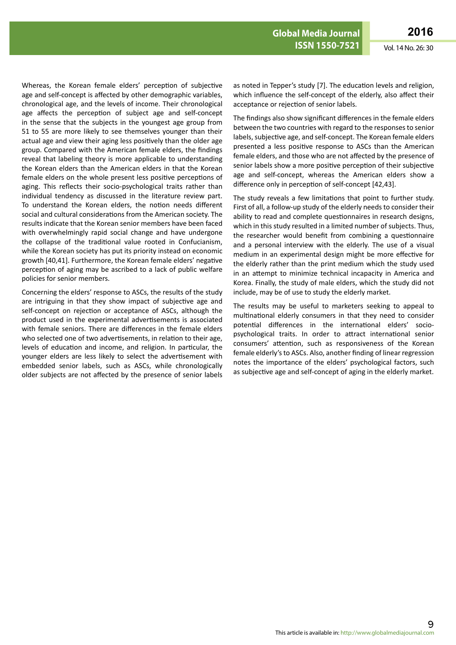Whereas, the Korean female elders' perception of subjective age and self-concept is affected by other demographic variables, chronological age, and the levels of income. Their chronological age affects the perception of subject age and self-concept in the sense that the subjects in the youngest age group from 51 to 55 are more likely to see themselves younger than their actual age and view their aging less positively than the older age group. Compared with the American female elders, the findings reveal that labeling theory is more applicable to understanding the Korean elders than the American elders in that the Korean female elders on the whole present less positive perceptions of aging. This reflects their socio-psychological traits rather than individual tendency as discussed in the literature review part. To understand the Korean elders, the notion needs different social and cultural considerations from the American society. The results indicate that the Korean senior members have been faced with overwhelmingly rapid social change and have undergone the collapse of the traditional value rooted in Confucianism, while the Korean society has put its priority instead on economic growth [40,41]. Furthermore, the Korean female elders' negative perception of aging may be ascribed to a lack of public welfare policies for senior members.

Concerning the elders' response to ASCs, the results of the study are intriguing in that they show impact of subjective age and self-concept on rejection or acceptance of ASCs, although the product used in the experimental advertisements is associated with female seniors. There are differences in the female elders who selected one of two advertisements, in relation to their age, levels of education and income, and religion. In particular, the younger elders are less likely to select the advertisement with embedded senior labels, such as ASCs, while chronologically older subjects are not affected by the presence of senior labels

as noted in Tepper's study [7]. The education levels and religion, which influence the self-concept of the elderly, also affect their acceptance or rejection of senior labels.

The findings also show significant differences in the female elders between the two countries with regard to the responses to senior labels, subjective age, and self-concept. The Korean female elders presented a less positive response to ASCs than the American female elders, and those who are not affected by the presence of senior labels show a more positive perception of their subjective age and self-concept, whereas the American elders show a difference only in perception of self-concept [42,43].

The study reveals a few limitations that point to further study. First of all, a follow-up study of the elderly needs to consider their ability to read and complete questionnaires in research designs, which in this study resulted in a limited number of subjects. Thus, the researcher would benefit from combining a questionnaire and a personal interview with the elderly. The use of a visual medium in an experimental design might be more effective for the elderly rather than the print medium which the study used in an attempt to minimize technical incapacity in America and Korea. Finally, the study of male elders, which the study did not include, may be of use to study the elderly market.

The results may be useful to marketers seeking to appeal to multinational elderly consumers in that they need to consider potential differences in the international elders' sociopsychological traits. In order to attract international senior consumers' attention, such as responsiveness of the Korean female elderly's to ASCs. Also, another finding of linear regression notes the importance of the elders' psychological factors, such as subjective age and self-concept of aging in the elderly market.